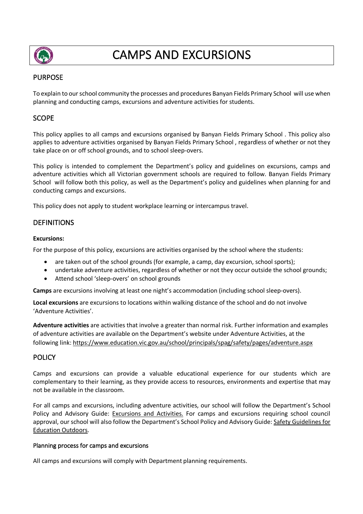

# CAMPS AND EXCURSIONS

# PURPOSE

To explain to our school community the processes and procedures Banyan Fields Primary School will use when planning and conducting camps, excursions and adventure activities for students.

# **SCOPE**

This policy applies to all camps and excursions organised by Banyan Fields Primary School . This policy also applies to adventure activities organised by Banyan Fields Primary School , regardless of whether or not they take place on or off school grounds, and to school sleep-overs.

This policy is intended to complement the Department's policy and guidelines on excursions, camps and adventure activities which all Victorian government schools are required to follow. Banyan Fields Primary School will follow both this policy, as well as the Department's policy and guidelines when planning for and conducting camps and excursions.

This policy does not apply to student workplace learning or intercampus travel.

# DEFINITIONS

## **Excursions:**

For the purpose of this policy, excursions are activities organised by the school where the students:

- are taken out of the school grounds (for example, a camp, day excursion, school sports);
- undertake adventure activities, regardless of whether or not they occur outside the school grounds;
- Attend school 'sleep-overs' on school grounds

**Camps** are excursions involving at least one night's accommodation (including school sleep-overs).

**Local excursions** are excursions to locations within walking distance of the school and do not involve 'Adventure Activities'.

**Adventure activities** are activities that involve a greater than normal risk. Further information and examples of adventure activities are available on the Department's website under Adventure Activities, at the following link: https://www.education.vic.gov.au/school/principals/spag/safety/pages/adventure.aspx

# **POLICY**

Camps and excursions can provide a valuable educational experience for our students which are complementary to their learning, as they provide access to resources, environments and expertise that may not be available in the classroom.

For all camps and excursions, including adventure activities, our school will follow the Department's School Policy and Advisory Guide: Excursions and Activities. For camps and excursions requiring school council approval, our school will also follow the Department's School Policy and Advisory Guide: Safety Guidelines for Education Outdoors.

### Planning process for camps and excursions

All camps and excursions will comply with Department planning requirements.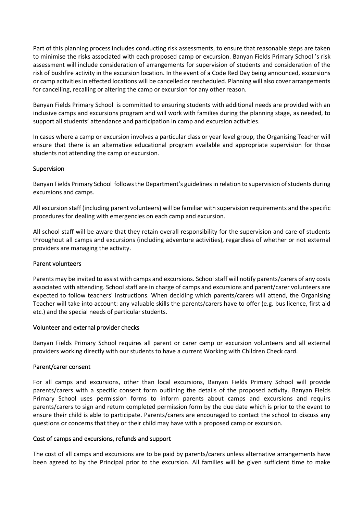Part of this planning process includes conducting risk assessments, to ensure that reasonable steps are taken to minimise the risks associated with each proposed camp or excursion. Banyan Fields Primary School 's risk assessment will include consideration of arrangements for supervision of students and consideration of the risk of bushfire activity in the excursion location. In the event of a Code Red Day being announced, excursions or camp activities in effected locations will be cancelled or rescheduled. Planning will also cover arrangements for cancelling, recalling or altering the camp or excursion for any other reason.

Banyan Fields Primary School is committed to ensuring students with additional needs are provided with an inclusive camps and excursions program and will work with families during the planning stage, as needed, to support all students' attendance and participation in camp and excursion activities.

In cases where a camp or excursion involves a particular class or year level group, the Organising Teacher will ensure that there is an alternative educational program available and appropriate supervision for those students not attending the camp or excursion.

### Supervision

Banyan Fields Primary School follows the Department's guidelines in relation to supervision of students during excursions and camps.

All excursion staff (including parent volunteers) will be familiar with supervision requirements and the specific procedures for dealing with emergencies on each camp and excursion.

All school staff will be aware that they retain overall responsibility for the supervision and care of students throughout all camps and excursions (including adventure activities), regardless of whether or not external providers are managing the activity.

# Parent volunteers

Parents may be invited to assist with camps and excursions. School staff will notify parents/carers of any costs associated with attending. School staff are in charge of camps and excursions and parent/carer volunteers are expected to follow teachers' instructions. When deciding which parents/carers will attend, the Organising Teacher will take into account: any valuable skills the parents/carers have to offer (e.g. bus licence, first aid etc.) and the special needs of particular students.

### Volunteer and external provider checks

Banyan Fields Primary School requires all parent or carer camp or excursion volunteers and all external providers working directly with our students to have a current Working with Children Check card.

# Parent/carer consent

For all camps and excursions, other than local excursions, Banyan Fields Primary School will provide parents/carers with a specific consent form outlining the details of the proposed activity. Banyan Fields Primary School uses permission forms to inform parents about camps and excursions and requirs parents/carers to sign and return completed permission form by the due date which is prior to the event to ensure their child is able to participate. Parents/carers are encouraged to contact the school to discuss any questions or concerns that they or their child may have with a proposed camp or excursion.

# Cost of camps and excursions, refunds and support

The cost of all camps and excursions are to be paid by parents/carers unless alternative arrangements have been agreed to by the Principal prior to the excursion. All families will be given sufficient time to make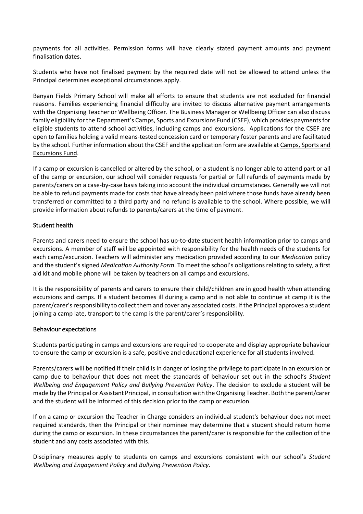payments for all activities. Permission forms will have clearly stated payment amounts and payment finalisation dates.

Students who have not finalised payment by the required date will not be allowed to attend unless the Principal determines exceptional circumstances apply.

Banyan Fields Primary School will make all efforts to ensure that students are not excluded for financial reasons. Families experiencing financial difficulty are invited to discuss alternative payment arrangements with the Organising Teacher or Wellbeing Officer. The Business Manager or Wellbeing Officer can also discuss family eligibility for the Department's Camps, Sports and Excursions Fund (CSEF), which provides payments for eligible students to attend school activities, including camps and excursions. Applications for the CSEF are open to families holding a valid means-tested concession card or temporary foster parents and are facilitated by the school. Further information about the CSEF and the application form are available at Camps, Sports and Excursions Fund.

If a camp or excursion is cancelled or altered by the school, or a student is no longer able to attend part or all of the camp or excursion, our school will consider requests for partial or full refunds of payments made by parents/carers on a case-by-case basis taking into account the individual circumstances. Generally we will not be able to refund payments made for costs that have already been paid where those funds have already been transferred or committed to a third party and no refund is available to the school. Where possible, we will provide information about refunds to parents/carers at the time of payment.

## Student health

Parents and carers need to ensure the school has up-to-date student health information prior to camps and excursions. A member of staff will be appointed with responsibility for the health needs of the students for each camp/excursion. Teachers will administer any medication provided according to our *Medication* policy and the student's signed *Medication Authority Form*. To meet the school's obligations relating to safety, a first aid kit and mobile phone will be taken by teachers on all camps and excursions.

It is the responsibility of parents and carers to ensure their child/children are in good health when attending excursions and camps. If a student becomes ill during a camp and is not able to continue at camp it is the parent/carer's responsibility to collect them and cover any associated costs. If the Principal approves a student joining a camp late, transport to the camp is the parent/carer's responsibility.

### Behaviour expectations

Students participating in camps and excursions are required to cooperate and display appropriate behaviour to ensure the camp or excursion is a safe, positive and educational experience for all students involved.

Parents/carers will be notified if their child is in danger of losing the privilege to participate in an excursion or camp due to behaviour that does not meet the standards of behaviour set out in the school's *Student Wellbeing and Engagement Policy and Bullying Prevention Policy*. The decision to exclude a student will be made by the Principal or Assistant Principal, in consultation with the Organising Teacher. Both the parent/carer and the student will be informed of this decision prior to the camp or excursion.

If on a camp or excursion the Teacher in Charge considers an individual student's behaviour does not meet required standards, then the Principal or their nominee may determine that a student should return home during the camp or excursion. In these circumstances the parent/carer is responsible for the collection of the student and any costs associated with this.

Disciplinary measures apply to students on camps and excursions consistent with our school's *Student Wellbeing and Engagement Policy* and *Bullying Prevention Policy*.